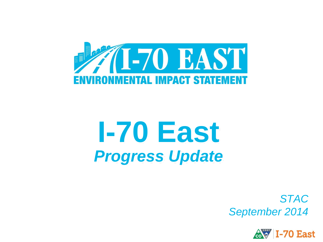

# **I-70 East** *Progress Update*

*STAC September 2014*

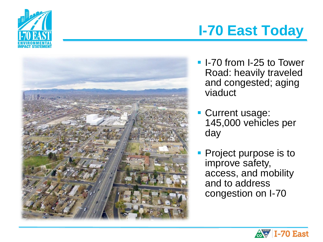



## **I-70 East Today**

- **I-70 from I-25 to Tower** Road: heavily traveled and congested; aging viaduct
- **Current usage:** 145,000 vehicles per day
- Project purpose is to improve safety, access, and mobility and to address congestion on I-70

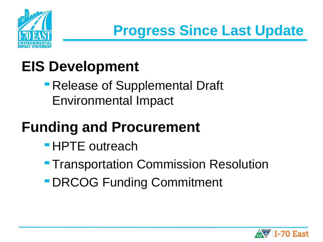

## **EIS Development**

 Release of Supplemental Draft Environmental Impact

# **Funding and Procurement**

- **HPTE outreach**
- **Transportation Commission Resolution**
- DRCOG Funding Commitment

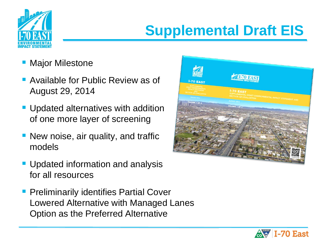

## **Supplemental Draft EIS**

- Major Milestone
- **Available for Public Review as of** August 29, 2014
- **Updated alternatives with addition** of one more layer of screening
- **New noise, air quality, and traffic** models
- **Updated information and analysis** for all resources
- **Preliminarily identifies Partial Cover** Lowered Alternative with Managed Lanes Option as the Preferred Alternative



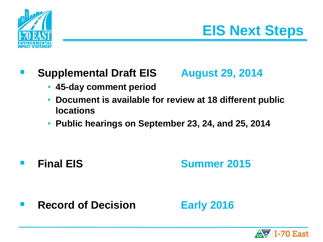

## **EIS Next Steps**

### **Supplemental Draft EIS August 29, 2014**

- 
- **45-day comment period**
- **Document is available for review at 18 different public locations**
- **Public hearings on September 23, 24, and 25, 2014**

## **Final EIS Summer 2015**

**Record of Decision Early 2016** 

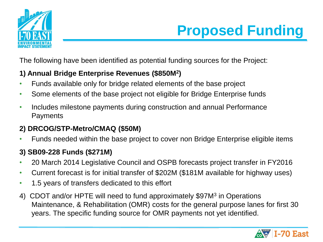



The following have been identified as potential funding sources for the Project:

#### **1) Annual Bridge Enterprise Revenues (\$850M<sup>2</sup> )**

- Funds available only for bridge related elements of the base project
- Some elements of the base project not eligible for Bridge Enterprise funds
- Includes milestone payments during construction and annual Performance **Payments**

#### **2) DRCOG/STP-Metro/CMAQ (\$50M)**

• Funds needed within the base project to cover non Bridge Enterprise eligible items

#### **3) SB09-228 Funds (\$271M)**

- 20 March 2014 Legislative Council and OSPB forecasts project transfer in FY2016
- Current forecast is for initial transfer of \$202M (\$181M available for highway uses)
- 1.5 years of transfers dedicated to this effort
- 4) CDOT and/or HPTE will need to fund approximately \$97M<sup>3</sup> in Operations Maintenance, & Rehabilitation (OMR) costs for the general purpose lanes for first 30 years. The specific funding source for OMR payments not yet identified.

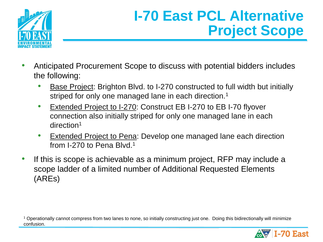

## **I-70 East PCL Alternative Project Scope**

- Anticipated Procurement Scope to discuss with potential bidders includes the following:
	- Base Project: Brighton Blvd. to I-270 constructed to full width but initially striped for only one managed lane in each direction.<sup>1</sup>
	- **Extended Project to I-270: Construct EB I-270 to EB I-70 flyover** connection also initially striped for only one managed lane in each direction<sup>1</sup>
	- **Extended Project to Pena: Develop one managed lane each direction** from I-270 to Pena Blvd.<sup>1</sup>
- If this is scope is achievable as a minimum project, RFP may include a scope ladder of a limited number of Additional Requested Elements (AREs)

<sup>1</sup> Operationally cannot compress from two lanes to none, so initially constructing just one. Doing this bidirectionally will minimize confusion.

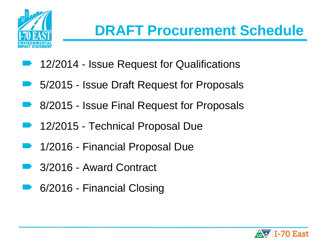

## **DRAFT Procurement Schedule**

- 12/2014 Issue Request for Qualifications
- 5/2015 Issue Draft Request for Proposals
- 8/2015 Issue Final Request for Proposals
- 12/2015 Technical Proposal Due
- 1/2016 Financial Proposal Due
- 3/2016 Award Contract
- 6/2016 Financial Closing

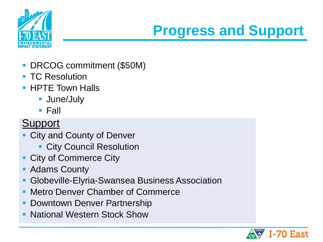

## **Progress and Support**

- DRCOG commitment (\$50M)
- **TC Resolution**
- **HPTE Town Halls** 
	- **June/July**
	- $\blacksquare$  Fall

## Support

- **City and County of Denver** 
	- **City Council Resolution**
- **City of Commerce City**
- Adams County
- Globeville-Elyria-Swansea Business Association
- **Metro Denver Chamber of Commerce**
- **Downtown Denver Partnership**
- **National Western Stock Show**

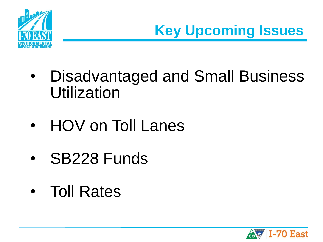

**Key Upcoming Issues**

- Disadvantaged and Small Business Utilization
- HOV on Toll Lanes
- SB228 Funds
- Toll Rates

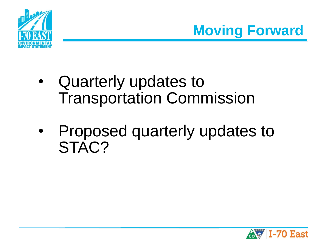



- Quarterly updates to Transportation Commission
- Proposed quarterly updates to STAC?